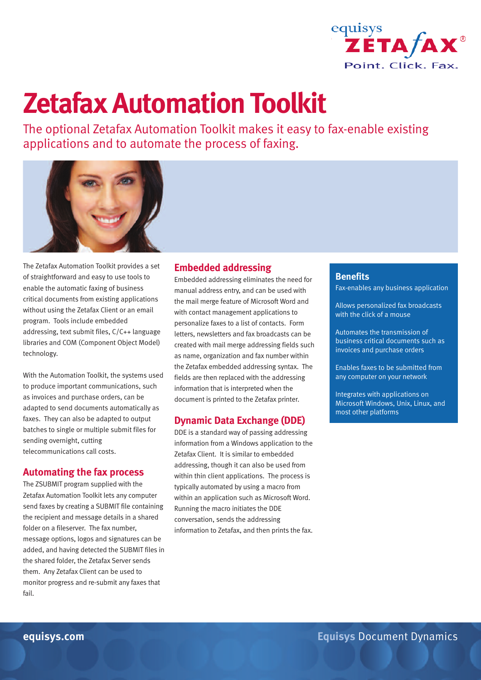

# **Zetafax Automation Toolkit**

The optional Zetafax Automation Toolkit makes it easy to fax-enable existing applications and to automate the process of faxing.



The Zetafax Automation Toolkit provides a set of straightforward and easy to use tools to enable the automatic faxing of business critical documents from existing applications without using the Zetafax Client or an email program. Tools include embedded addressing, text submit files, C/C++ language libraries and COM (Component Object Model) technology.

With the Automation Toolkit, the systems used to produce important communications, such as invoices and purchase orders, can be adapted to send documents automatically as faxes. They can also be adapted to output batches to single or multiple submit files for sending overnight, cutting telecommunications call costs.

#### **Automating the fax process**

The ZSUBMIT program supplied with the Zetafax Automation Toolkit lets any computer send faxes by creating a SUBMIT file containing the recipient and message details in a shared folder on a fileserver. The fax number, message options, logos and signatures can be added, and having detected the SUBMIT files in the shared folder, the Zetafax Server sends them. Any Zetafax Client can be used to monitor progress and re-submit any faxes that fail.

### **Embedded addressing**

Embedded addressing eliminates the need for manual address entry, and can be used with the mail merge feature of Microsoft Word and with contact management applications to personalize faxes to a list of contacts. Form letters, newsletters and fax broadcasts can be created with mail merge addressing fields such as name, organization and fax number within the Zetafax embedded addressing syntax. The fields are then replaced with the addressing information that is interpreted when the document is printed to the Zetafax printer.

#### **Dynamic Data Exchange (DDE)**

DDE is a standard way of passing addressing information from a Windows application to the Zetafax Client. It is similar to embedded addressing, though it can also be used from within thin client applications. The process is typically automated by using a macro from within an application such as Microsoft Word. Running the macro initiates the DDE conversation, sends the addressing information to Zetafax, and then prints the fax.

#### **Benefits**

Fax-enables any business application

Allows personalized fax broadcasts with the click of a mouse

Automates the transmission of business critical documents such as invoices and purchase orders

Enables faxes to be submitted from any computer on your network

Integrates with applications on Microsoft Windows, Unix, Linux, and most other platforms